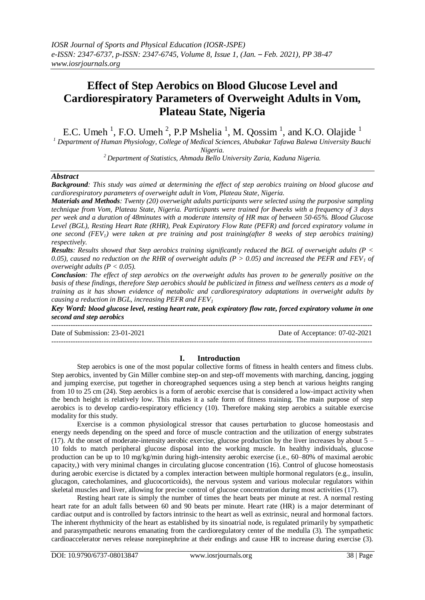# **Effect of Step Aerobics on Blood Glucose Level and Cardiorespiratory Parameters of Overweight Adults in Vom, Plateau State, Nigeria**

E.C. Umeh<sup>1</sup>, F.O. Umeh<sup>2</sup>, P.P Mshelia<sup>1</sup>, M. Qossim<sup>1</sup>, and K.O. Olajide<sup>1</sup>

*<sup>1</sup> Department of Human Physiology, College of Medical Sciences, Abubakar Tafawa Balewa University Bauchi Nigeria.*

*<sup>2</sup>Department of Statistics, Ahmadu Bello University Zaria, Kaduna Nigeria.*

## *Abstract*

*Background: This study was aimed at determining the effect of step aerobics training on blood glucose and cardiorespiratory parameters of overweight adult in Vom, Plateau State, Nigeria.*

*Materials and Methods: Twenty (20) overweight adults participants were selected using the purposive sampling technique from Vom, Plateau State, Nigeria. Participants were trained for 8weeks with a frequency of 3 days per week and a duration of 48minutes with a moderate intensity of HR max of between 50-65%. Blood Glucose Level (BGL), Resting Heart Rate (RHR), Peak Expiratory Flow Rate (PEFR) and forced expiratory volume in one second (FEV1) were taken at pre training and post training(after 8 weeks of step aerobics training) respectively.* 

*Results: Results showed that Step aerobics training significantly reduced the BGL of overweight adults (P <*  0.05), caused no reduction on the RHR of overweight adults ( $P > 0.05$ ) and increased the PEFR and FEV<sub>1</sub> of *overweight adults (P < 0.05).* 

*Conclusion: The effect of step aerobics on the overweight adults has proven to be generally positive on the basis of these findings, therefore Step aerobics should be publicized in fitness and wellness centers as a mode of training as it has shown evidence of metabolic and cardiorespiratory adaptations in overweight adults by causing a reduction in BGL, increasing PEFR and FEV<sup>1</sup>*

*Key Word: blood glucose level, resting heart rate, peak expiratory flow rate, forced expiratory volume in one second and step aerobics*

Date of Submission: 23-01-2021 Date of Acceptance: 07-02-2021 ---------------------------------------------------------------------------------------------------------------------------------------

---------------------------------------------------------------------------------------------------------------------------------------

## **I. Introduction**

Step aerobics is one of the most popular collective forms of fitness in health centers and fitness clubs. Step aerobics, invented by Gin Miller combine step-on and step-off movements with marching, dancing, jogging and jumping exercise, put together in choreographed sequences using a step bench at various heights ranging from 10 to 25 cm (24). Step aerobics is a form of aerobic exercise that is considered a low-impact activity when the bench height is relatively low. This makes it a safe form of fitness training. The main purpose of step aerobics is to develop cardio-respiratory efficiency (10). Therefore making step aerobics a suitable exercise modality for this study.

Exercise is a common physiological stressor that causes perturbation to glucose homeostasis and energy needs depending on the speed and force of muscle contraction and the utilization of energy substrates (17). At the onset of moderate-intensity aerobic exercise, glucose production by the liver increases by about  $5 -$ 10 folds to match peripheral glucose disposal into the working muscle. In healthy individuals, glucose production can be up to 10 mg/kg/min during high-intensity aerobic exercise (i.e., 60–80% of maximal aerobic capacity,) with very minimal changes in circulating glucose concentration (16). Control of glucose homeostasis during aerobic exercise is dictated by a complex interaction between multiple hormonal regulators (e.g., insulin, glucagon, catecholamines, and glucocorticoids), the nervous system and various molecular regulators within skeletal muscles and liver, allowing for precise control of glucose concentration during most activities (17).

Resting heart rate is simply the number of times the heart beats per minute at rest. A normal resting heart rate for an adult falls between 60 and 90 beats per minute. Heart rate (HR) is a major determinant of cardiac output and is controlled by factors intrinsic to the heart as well as extrinsic, neural and hormonal factors. The inherent rhythmicity of the heart as established by its sinoatrial node, is regulated primarily by sympathetic and parasympathetic neurons emanating from the cardioregulatory center of the medulla (3). The sympathetic cardioaccelerator nerves release norepinephrine at their endings and cause HR to increase during exercise (3).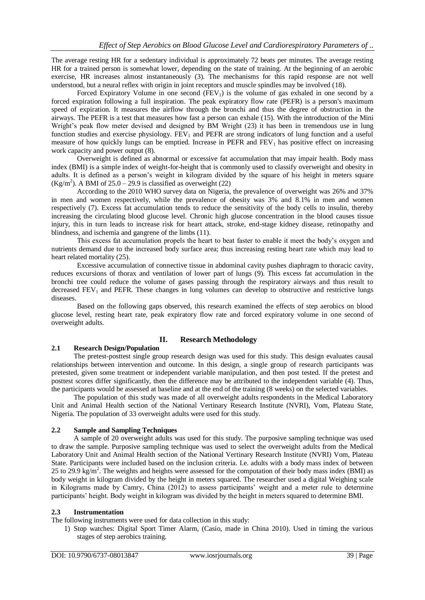The average resting HR for a sedentary individual is approximately 72 beats per minutes. The average resting HR for a trained person is somewhat lower, depending on the state of training. At the beginning of an aerobic exercise, HR increases almost instantaneously (3). The mechanisms for this rapid response are not well understood, but a neural reflex with origin in joint receptors and muscle spindles may be involved (18).

Forced Expiratory Volume in one second  $(FEV<sub>1</sub>)$  is the volume of gas exhaled in one second by a forced expiration following a full inspiration. The peak expiratory flow rate (PEFR) is a person's maximum speed of expiration. It measures the airflow through the bronchi and thus the degree of obstruction in the airways. The PEFR is a test that measures how fast a person can exhale (15). With the introduction of the Mini Wright's peak flow meter devised and designed by BM Wright (23) it has been in tremendous use in lung function studies and exercise physiology.  $FEV<sub>1</sub>$  and  $PEFR$  are strong indicators of lung function and a useful measure of how quickly lungs can be emptied. Increase in PEFR and  $FEV<sub>1</sub>$  has positive effect on increasing work capacity and power output (8).

Overweight is defined as abnormal or excessive fat accumulation that may impair health. Body mass index (BMI) is a simple index of weight-for-height that is commonly used to classify overweight and obesity in adults. It is defined as a person's weight in kilogram divided by the square of his height in meters square (Kg/m<sup>2</sup>). A BMI of  $25.0 - 29.9$  is classified as overweight (22)

According to the 2010 WHO survey data on Nigeria, the prevalence of overweight was 26% and 37% in men and women respectively, while the prevalence of obesity was 3% and 8.1% in men and women respectively (7). Excess fat accumulation tends to reduce the sensitivity of the body cells to insulin, thereby increasing the circulating blood glucose level. Chronic high glucose concentration in the blood causes tissue injury, this in turn leads to increase risk for heart attack, stroke, end-stage kidney disease, retinopathy and blindness, and ischemia and gangrene of the limbs (11).

This excess fat accumulation propels the heart to beat faster to enable it meet the body's oxygen and nutrients demand due to the increased body surface area; thus increasing resting heart rate which may lead to heart related mortality (25).

Excessive accumulation of connective tissue in abdominal cavity pushes diaphragm to thoracic cavity, reduces excursions of thorax and ventilation of lower part of lungs (9). This excess fat accumulation in the bronchi tree could reduce the volume of gases passing through the respiratory airways and thus result to decreased  $FEV<sub>1</sub>$  and PEFR. These changes in lung volumes can develop to obstructive and restrictive lungs diseases.

Based on the following gaps observed, this research examined the effects of step aerobics on blood glucose level, resting heart rate, peak expiratory flow rate and forced expiratory volume in one second of overweight adults.

# **2.1 Research Design/Population**

## **II. Research Methodology**

The pretest-posttest single group research design was used for this study. This design evaluates causal relationships between intervention and outcome. In this design, a single group of research participants was pretested, given some treatment or independent variable manipulation, and then post tested. If the pretest and posttest scores differ significantly, then the difference may be attributed to the independent variable (4). Thus, the participants would be assessed at baseline and at the end of the training (8 weeks) on the selected variables.

The population of this study was made of all overweight adults respondents in the Medical Laboratory Unit and Animal Health section of the National Vertinary Research Institute (NVRI), Vom, Plateau State, Nigeria. The population of 33 overweight adults were used for this study.

# **2.2 Sample and Sampling Techniques**

A sample of 20 overweight adults was used for this study. The purposive sampling technique was used to draw the sample. Purposive sampling technique was used to select the overweight adults from the Medical Laboratory Unit and Animal Health section of the National Vertinary Research Institute (NVRI) Vom, Plateau State. Participants were included based on the inclusion criteria. I.e. adults with a body mass index of between 25 to 29.9 kg/m<sup>2</sup>. The weights and heights were assessed for the computation of their body mass index (BMI) as body weight in kilogram divided by the height in meters squared. The researcher used a digital Weighing scale in Kilograms made by Camry, China (2012) to assess participants' weight and a meter rule to determine participants' height. Body weight in kilogram was divided by the height in meters squared to determine BMI.

#### **2.3 Instrumentation**

The following instruments were used for data collection in this study:

1) Stop watches: Digital Sport Timer Alarm, (Casio, made in China 2010). Used in timing the various stages of step aerobics training.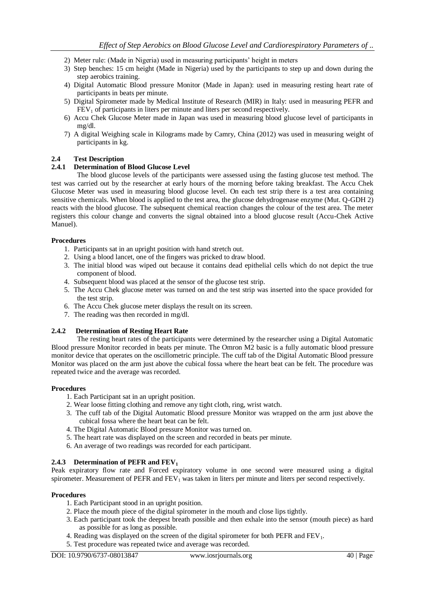- 2) Meter rule: (Made in Nigeria) used in measuring participants' height in meters
- 3) Step benches: 15 cm height (Made in Nigeria) used by the participants to step up and down during the step aerobics training.
- 4) Digital Automatic Blood pressure Monitor (Made in Japan): used in measuring resting heart rate of participants in beats per minute.
- 5) Digital Spirometer made by Medical Institute of Research (MIR) in Italy: used in measuring PEFR and  $FEV<sub>1</sub>$  of participants in liters per minute and liters per second respectively.
- 6) Accu Chek Glucose Meter made in Japan was used in measuring blood glucose level of participants in mg/dl.
- 7) A digital Weighing scale in Kilograms made by Camry, China (2012) was used in measuring weight of participants in kg.

## **2.4 Test Description**

#### **2.4.1 Determination of Blood Glucose Level**

The blood glucose levels of the participants were assessed using the fasting glucose test method. The test was carried out by the researcher at early hours of the morning before taking breakfast. The Accu Chek Glucose Meter was used in measuring blood glucose level. On each test strip there is a test area containing sensitive chemicals. When blood is applied to the test area, the glucose dehydrogenase enzyme (Mut. Q-GDH 2) reacts with the blood glucose. The subsequent chemical reaction changes the colour of the test area. The meter registers this colour change and converts the signal obtained into a blood glucose result (Accu-Chek Active Manuel).

#### **Procedures**

- 1. Participants sat in an upright position with hand stretch out.
- 2. Using a blood lancet, one of the fingers was pricked to draw blood.
- 3. The initial blood was wiped out because it contains dead epithelial cells which do not depict the true component of blood.
- 4. Subsequent blood was placed at the sensor of the glucose test strip.
- 5. The Accu Chek glucose meter was turned on and the test strip was inserted into the space provided for the test strip.
- 6. The Accu Chek glucose meter displays the result on its screen.
- 7. The reading was then recorded in mg/dl.

#### **2.4.2 Determination of Resting Heart Rate**

The resting heart rates of the participants were determined by the researcher using a Digital Automatic Blood pressure Monitor recorded in beats per minute. The Omron M2 basic is a fully automatic blood pressure monitor device that operates on the oscillometric principle. The cuff tab of the Digital Automatic Blood pressure Monitor was placed on the arm just above the cubical fossa where the heart beat can be felt. The procedure was repeated twice and the average was recorded.

#### **Procedures**

- 1. Each Participant sat in an upright position.
- 2. Wear loose fitting clothing and remove any tight cloth, ring, wrist watch.
- 3. The cuff tab of the Digital Automatic Blood pressure Monitor was wrapped on the arm just above the cubical fossa where the heart beat can be felt.
- 4. The Digital Automatic Blood pressure Monitor was turned on.
- 5. The heart rate was displayed on the screen and recorded in beats per minute.
- 6. An average of two readings was recorded for each participant.

#### **2.4.3 Determination of PEFR and FEV<sup>1</sup>**

Peak expiratory flow rate and Forced expiratory volume in one second were measured using a digital spirometer. Measurement of  $PEFR$  and  $FEV<sub>1</sub>$  was taken in liters per minute and liters per second respectively.

#### **Procedures**

- 1. Each Participant stood in an upright position.
- 2. Place the mouth piece of the digital spirometer in the mouth and close lips tightly.
- 3. Each participant took the deepest breath possible and then exhale into the sensor (mouth piece) as hard as possible for as long as possible.
- 4. Reading was displayed on the screen of the digital spirometer for both PEFR and  $FEV<sub>1</sub>$ .
- 5. Test procedure was repeated twice and average was recorded.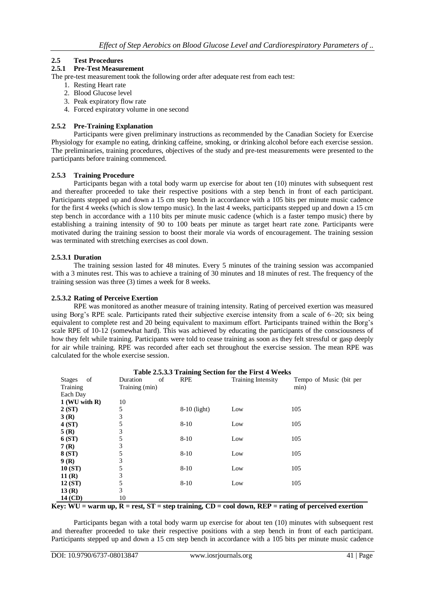# **2.5 Test Procedures**

#### **2.5.1 Pre-Test Measurement**

The pre-test measurement took the following order after adequate rest from each test:

- 1. Resting Heart rate
- 2. Blood Glucose level
- 3. Peak expiratory flow rate
- 4. Forced expiratory volume in one second

#### **2.5.2 Pre-Training Explanation**

Participants were given preliminary instructions as recommended by the Canadian Society for Exercise Physiology for example no eating, drinking caffeine, smoking, or drinking alcohol before each exercise session. The preliminaries, training procedures, objectives of the study and pre-test measurements were presented to the participants before training commenced.

#### **2.5.3 Training Procedure**

Participants began with a total body warm up exercise for about ten (10) minutes with subsequent rest and thereafter proceeded to take their respective positions with a step bench in front of each participant. Participants stepped up and down a 15 cm step bench in accordance with a 105 bits per minute music cadence for the first 4 weeks (which is slow tempo music). In the last 4 weeks, participants stepped up and down a 15 cm step bench in accordance with a 110 bits per minute music cadence (which is a faster tempo music) there by establishing a training intensity of 90 to 100 beats per minute as target heart rate zone. Participants were motivated during the training session to boost their morale via words of encouragement. The training session was terminated with stretching exercises as cool down.

#### **2.5.3.1 Duration**

The training session lasted for 48 minutes. Every 5 minutes of the training session was accompanied with a 3 minutes rest. This was to achieve a training of 30 minutes and 18 minutes of rest. The frequency of the training session was three (3) times a week for 8 weeks.

#### **2.5.3.2 Rating of Perceive Exertion**

RPE was monitored as another measure of training intensity. Rating of perceived exertion was measured using Borg's RPE scale. Participants rated their subjective exercise intensity from a scale of 6–20; six being equivalent to complete rest and 20 being equivalent to maximum effort. Participants trained within the Borg's scale RPE of 10-12 (somewhat hard). This was achieved by educating the participants of the consciousness of how they felt while training. Participants were told to cease training as soon as they felt stressful or gasp deeply for air while training. RPE was recorded after each set throughout the exercise session. The mean RPE was calculated for the whole exercise session.

|                                |                |                | Table 2.5.3.3 Training Section for the First 4 weeks |                         |
|--------------------------------|----------------|----------------|------------------------------------------------------|-------------------------|
| <sub>of</sub><br><b>Stages</b> | of<br>Duration | <b>RPE</b>     | <b>Training Intensity</b>                            | Tempo of Music (bit per |
| Training                       | Training (min) |                |                                                      | min)                    |
| Each Day                       |                |                |                                                      |                         |
| $1$ (WU with R)                | 10             |                |                                                      |                         |
| 2(ST)                          | 5              | $8-10$ (light) | Low                                                  | 105                     |
| 3(R)                           | 3              |                |                                                      |                         |
| 4(ST)                          | 5              | $8 - 10$       | Low                                                  | 105                     |
| 5(R)                           | 3              |                |                                                      |                         |
| 6 (ST)                         | 5              | $8-10$         | Low                                                  | 105                     |
| 7(R)                           | 3              |                |                                                      |                         |
| 8 (ST)                         | 5              | $8 - 10$       | Low                                                  | 105                     |
| 9(R)                           | 3              |                |                                                      |                         |
| 10(ST)                         | 5              | $8 - 10$       | Low                                                  | 105                     |
| 11(R)                          | 3              |                |                                                      |                         |
| 12(ST)                         | 5              | $8-10$         | Low                                                  | 105                     |
| 13(R)                          | 3              |                |                                                      |                         |
| 14 (CD)                        | 10             |                |                                                      |                         |

## **Table 2.5.3.3 Training Section for the First 4 Weeks**

 $Key: WU = warm up, R = rest, ST = step training, CD = cool down, REP = rating of perceived execution$ 

Participants began with a total body warm up exercise for about ten (10) minutes with subsequent rest and thereafter proceeded to take their respective positions with a step bench in front of each participant. Participants stepped up and down a 15 cm step bench in accordance with a 105 bits per minute music cadence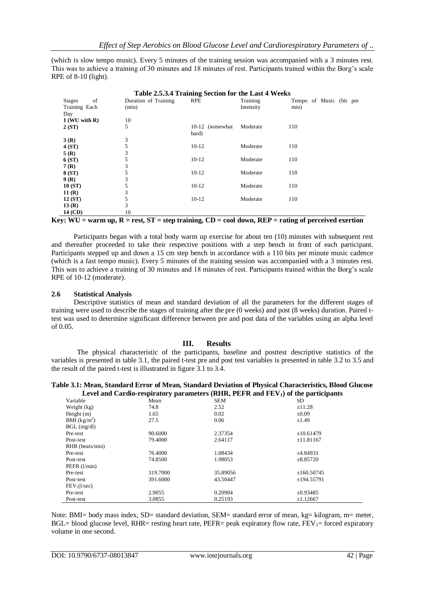(which is slow tempo music). Every 5 minutes of the training session was accompanied with a 3 minutes rest. This was to achieve a training of 30 minutes and 18 minutes of rest. Participants trained within the Borg's scale RPE of 8-10 (light).

|                     |                      | Table 2.5.3.4 Training Section for the Last 4 Weeks |           |                         |
|---------------------|----------------------|-----------------------------------------------------|-----------|-------------------------|
| of<br><b>Stages</b> | Duration of Training | <b>RPE</b>                                          | Training  | Tempo of Music (bit per |
| Training Each       | (min)                |                                                     | Intensity | min)                    |
| Day                 |                      |                                                     |           |                         |
| $1$ (WU with R)     | 10                   |                                                     |           |                         |
| 2(ST)               | 5                    | 10-12 (somewhat                                     | Moderate  | 110                     |
|                     |                      | hard)                                               |           |                         |
| 3(R)                | 3                    |                                                     |           |                         |
| 4(ST)               | 5                    | $10-12$                                             | Moderate  | 110                     |
| 5(R)                | 3                    |                                                     |           |                         |
| 6 (ST)              | 5                    | $10-12$                                             | Moderate  | 110                     |
| 7(R)                | 3                    |                                                     |           |                         |
| 8 (ST)              | 5                    | $10-12$                                             | Moderate  | 110                     |
| 9(R)                | 3                    |                                                     |           |                         |
| 10 (ST)             | 5                    | $10-12$                                             | Moderate  | 110                     |
| 11(R)               | 3                    |                                                     |           |                         |
| 12 (ST)             | 5                    | $10-12$                                             | Moderate  | 110                     |
| 13(R)               | 3                    |                                                     |           |                         |
| 14 (CD)             | 10                   |                                                     |           |                         |

**Key: WU = warm up, R = rest, ST = step training, CD = cool down, REP = rating of perceived exertion**

Participants began with a total body warm up exercise for about ten (10) minutes with subsequent rest and thereafter proceeded to take their respective positions with a step bench in front of each participant. Participants stepped up and down a 15 cm step bench in accordance with a 110 bits per minute music cadence (which is a fast tempo music). Every 5 minutes of the training session was accompanied with a 3 minutes rest. This was to achieve a training of 30 minutes and 18 minutes of rest. Participants trained within the Borg's scale RPE of 10-12 (moderate).

#### **2.6 Statistical Analysis**

Descriptive statistics of mean and standard deviation of all the parameters for the different stages of training were used to describe the stages of training after the pre (0 weeks) and post (8 weeks) duration. Paired ttest was used to determine significant difference between pre and post data of the variables using an alpha level of 0.05.

## **III. Results**

The physical characteristic of the participants, baseline and posttest descriptive statistics of the variables is presented in table 3.1, the paired t-test pre and post test variables is presented in table 3.2 to 3.5 and the result of the paired t-test is illustrated in figure 3.1 to 3.4.

#### **Table 3.1: Mean, Standard Error of Mean, Standard Deviation of Physical Characteristics, Blood Glucose Level and Cardio-respiratory parameters (RHR, PEFR and FEV1) of the participants**

| Variable                 | Mean     | <b>SEM</b> | <b>SD</b>       |
|--------------------------|----------|------------|-----------------|
| Weight (kg)              | 74.8     | 2.52       | ±11.28          |
| Height $(m)$             | 1.65     | 0.02       | $\pm 0.09$      |
| BMI $(kg/m^2)$           | 27.5     | 0.06       | $\pm 1.49$      |
| $BGL$ (mg/dl)            |          |            |                 |
| Pre-test                 | 90.6000  | 2.37354    | ±10.61479       |
| Post-test                | 79.4000  | 2.64117    | ±11.81167       |
| RHR (beats/min)          |          |            |                 |
| Pre-test                 | 76.4000  | 1.08434    | ±4.84931        |
| Post-test                | 74.8500  | 1.98053    | $\pm 8.85720$   |
| PEFR $(l/min)$           |          |            |                 |
| Pre-test                 | 319.7000 | 35.89056   | $\pm 160.50745$ |
| Post-test                | 391.6000 | 43.50447   | ±194.55791      |
| FEV <sub>1</sub> (l/sec) |          |            |                 |
| Pre-test                 | 2.9055   | 0.20904    | ±0.93485        |
| Post-test                | 3.0855   | 0.25193    | ±1.12667        |

Note: BMI= body mass index, SD= standard deviation, SEM= standard error of mean, kg= kilogram, m= meter, BGL= blood glucose level, RHR= resting heart rate, PEFR= peak expiratory flow rate,  $FEV<sub>1</sub>=$  forced expiratory volume in one second.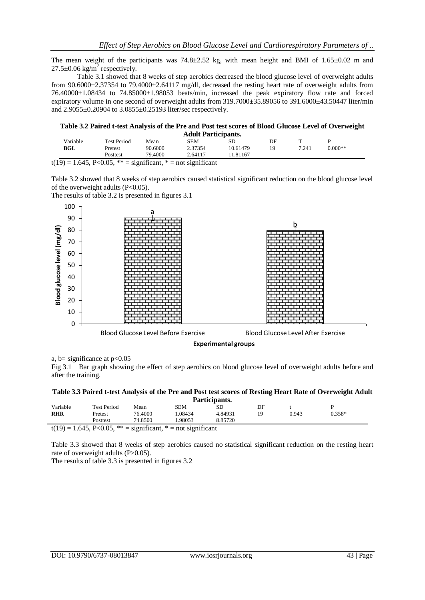The mean weight of the participants was  $74.8\pm 2.52$  kg, with mean height and BMI of  $1.65\pm 0.02$  m and  $27.5 \pm 0.06$  kg/m<sup>2</sup> respectively.

Table 3.1 showed that 8 weeks of step aerobics decreased the blood glucose level of overweight adults from 90.6000±2.37354 to 79.4000±2.64117 mg/dl, decreased the resting heart rate of overweight adults from 76.40000±1.08434 to 74.85000±1.98053 beats/min, increased the peak expiratory flow rate and forced expiratory volume in one second of overweight adults from 319.7000±35.89056 to 391.6000±43.50447 liter/min and 2.9055±0.20904 to 3.0855±0.25193 liter/sec respectively.

| Table 3.2 Paired t-test Analysis of the Pre and Post test scores of Blood Glucose Level of Overweight |  |
|-------------------------------------------------------------------------------------------------------|--|
| <b>Adult Participants.</b>                                                                            |  |

|                                                 |                    |         | <i>lauthe</i> <b>1</b> al ticliquities |          |    |       |           |
|-------------------------------------------------|--------------------|---------|----------------------------------------|----------|----|-------|-----------|
| Variable                                        | <b>Test Period</b> | Mean    | SEM                                    | SГ       | DF |       |           |
| BGL                                             | Pretest            | 90.6000 | 2.37354                                | 10.61479 | 19 | 7.241 | $0.000**$ |
|                                                 | Posttest           | 79.4000 | 2.64117                                | . 81167  |    |       |           |
| the contract of the contract of the contract of | .                  | .       |                                        |          |    |       |           |

 $t(19) = 1.645$ , P<0.05, \*\* = significant, \* = not significant

Table 3.2 showed that 8 weeks of step aerobics caused statistical significant reduction on the blood glucose level of the overweight adults (P<0.05).

The results of table 3.2 is presented in figures 3.1



a, b= significance at  $p<0.05$ 

Fig 3.1 Bar graph showing the effect of step aerobics on blood glucose level of overweight adults before and after the training.

#### **Table 3.3 Paired t-test Analysis of the Pre and Post test scores of Resting Heart Rate of Overweight Adult Participants.**

|            |                    |                |        | <b>Thermany</b> |    |       |          |  |
|------------|--------------------|----------------|--------|-----------------|----|-------|----------|--|
| Variable   | <b>Test Period</b> | Mean           | SEM    | SD              | DF |       |          |  |
| <b>RHR</b> | Pretest            | 76.4000        | .08434 | 4.84931         | q  | 0.943 | $0.358*$ |  |
|            | Posttest           | 74.8500        | .98053 | 8.85720         |    |       |          |  |
|            |                    | $\cdot$ $\sim$ |        |                 |    |       |          |  |

 $t(19) = 1.645$ , P<0.05, \*\* = significant, \* = not significant

Table 3.3 showed that 8 weeks of step aerobics caused no statistical significant reduction on the resting heart rate of overweight adults (P>0.05).

The results of table 3.3 is presented in figures 3.2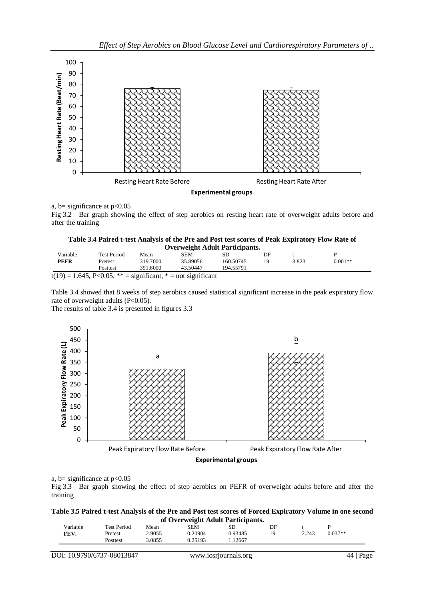

a, b= significance at  $p<0.05$ 

Fig 3.2 Bar graph showing the effect of step aerobics on resting heart rate of overweight adults before and after the training

| Table 3.4 Paired t-test Analysis of the Pre and Post test scores of Peak Expiratory Flow Rate of |  |
|--------------------------------------------------------------------------------------------------|--|
|--------------------------------------------------------------------------------------------------|--|

|          |                                   |          |          | <b>Overweight Adult Participants.</b> |    |       |           |
|----------|-----------------------------------|----------|----------|---------------------------------------|----|-------|-----------|
| Variable | Test Period                       | Mean     | SEM      |                                       | DF |       |           |
| PEFR     | Pretest                           | 319.7000 | 35.89056 | 160.50745                             | 19 | 3.823 | $0.001**$ |
|          | <b>Posttest</b>                   | 391.6000 | 43.50447 | 194.55791                             |    |       |           |
| (110)    | $1 \times 1 = \sum_{i=1}^{n} A_i$ |          |          |                                       |    |       |           |

 $t(19) = 1.645$ , P<0.05, \*\* = significant, \* = not significant

Table 3.4 showed that 8 weeks of step aerobics caused statistical significant increase in the peak expiratory flow rate of overweight adults (P<0.05).

The results of table 3.4 is presented in figures 3.3



**Experimental groups**

## a, b= significance at  $p<0.05$

Fig 3.3 Bar graph showing the effect of step aerobics on PEFR of overweight adults before and after the training

| Table 3.5 Paired t-test Analysis of the Pre and Post test scores of Forced Expiratory Volume in one second |
|------------------------------------------------------------------------------------------------------------|
| of Overweight Adult Participants.                                                                          |

| Variable | Test Period     | Mean   | SEM     | or O ver weight Audit I al derpants.<br>SD | DF |       |           |
|----------|-----------------|--------|---------|--------------------------------------------|----|-------|-----------|
| FEV      | Pretest         | 2.9055 | 0.20904 | 0.93485                                    | ١q | 2.243 | $0.037**$ |
|          | <b>Posttest</b> | 3.0855 | 0.25193 | .12667                                     |    |       |           |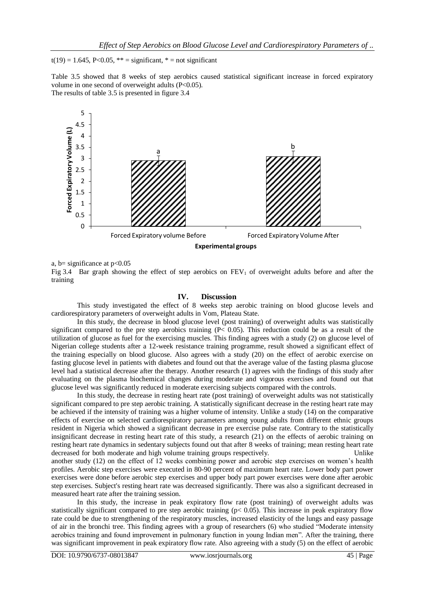$t(19) = 1.645$ , P<0.05, \*\* = significant, \* = not significant

Table 3.5 showed that 8 weeks of step aerobics caused statistical significant increase in forced expiratory volume in one second of overweight adults (P<0.05). The results of table 3.5 is presented in figure 3.4



a, b= significance at  $p<0.05$ 

Fig 3.4 Bar graph showing the effect of step aerobics on  $FEV_1$  of overweight adults before and after the training

#### **IV. Discussion**

This study investigated the effect of 8 weeks step aerobic training on blood glucose levels and cardiorespiratory parameters of overweight adults in Vom, Plateau State.

In this study, the decrease in blood glucose level (post training) of overweight adults was statistically significant compared to the pre step aerobics training (P< 0.05). This reduction could be as a result of the utilization of glucose as fuel for the exercising muscles. This finding agrees with a study (2) on glucose level of Nigerian college students after a 12-week resistance training programme, result showed a significant effect of the training especially on blood glucose. Also agrees with a study (20) on the effect of aerobic exercise on fasting glucose level in patients with diabetes and found out that the average value of the fasting plasma glucose level had a statistical decrease after the therapy. Another research (1) agrees with the findings of this study after evaluating on the plasma biochemical changes during moderate and vigorous exercises and found out that glucose level was significantly reduced in moderate exercising subjects compared with the controls.

In this study, the decrease in resting heart rate (post training) of overweight adults was not statistically significant compared to pre step aerobic training. A statistically significant decrease in the resting heart rate may be achieved if the intensity of training was a higher volume of intensity. Unlike a study (14) on the comparative effects of exercise on selected cardiorespiratory parameters among young adults from different ethnic groups resident in Nigeria which showed a significant decrease in pre exercise pulse rate. Contrary to the statistically insignificant decrease in resting heart rate of this study, a research (21) on the effects of aerobic training on resting heart rate dynamics in sedentary subjects found out that after 8 weeks of training; mean resting heart rate decreased for both moderate and high volume training groups respectively. Unlike another study (12) on the effect of 12 weeks combining power and aerobic step exercises on women's health

profiles. Aerobic step exercises were executed in 80-90 percent of maximum heart rate. Lower body part power exercises were done before aerobic step exercises and upper body part power exercises were done after aerobic step exercises. Subject's resting heart rate was decreased significantly. There was also a significant decreased in measured heart rate after the training session.

In this study, the increase in peak expiratory flow rate (post training) of overweight adults was statistically significant compared to pre step aerobic training ( $p$ < 0.05). This increase in peak expiratory flow rate could be due to strengthening of the respiratory muscles, increased elasticity of the lungs and easy passage of air in the bronchi tree. This finding agrees with a group of researchers (6) who studied "Moderate intensity aerobics training and found improvement in pulmonary function in young Indian men". After the training, there was significant improvement in peak expiratory flow rate. Also agreeing with a study (5) on the effect of aerobic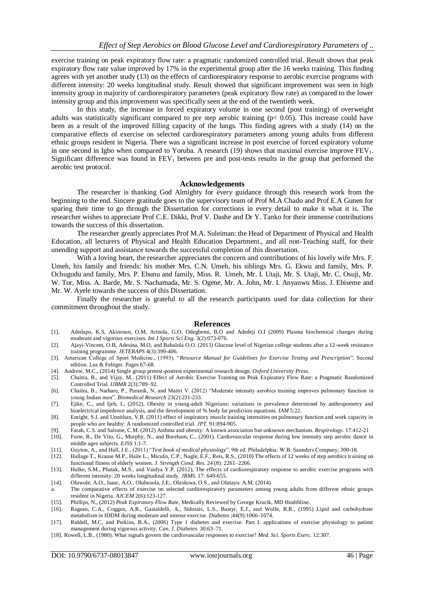exercise training on peak expiratory flow rate: a pragmatic randomized controlled trial. Result shows that peak expiratory flow rate value improved by 17% in the experimental group after the 16 weeks training. This finding agrees with yet another study (13) on the effects of cardiorespiratory response to aerobic exercise programs with different intensity: 20 weeks longitudinal study. Result showed that significant improvement was seen in high intensity group in majority of cardiorespiratory parameters (peak expiratory flow rate) as compared to the lower intensity group and this improvement was specifically seen at the end of the twentieth week.

In this study, the increase in forced expiratory volume in one second (post training) of overweight adults was statistically significant compared to pre step aerobic training ( $p < 0.05$ ). This increase could have been as a result of the improved filling capacity of the lungs. This finding agrees with a study (14) on the comparative effects of exercise on selected cardiorespiratory parameters among young adults from different ethnic groups resident in Nigeria. There was a significant increase in post exercise of forced expiratory volume in one second in Igbo when compared to Yoruba. A research (19) shows that maximal exercise improve  $FEV<sub>1</sub>$ . Significant difference was found in  $FEV<sub>1</sub>$  between pre and post-tests results in the group that performed the aerobic test protocol.

#### **Acknowledgements**

The researcher is thanking God Almighty for every guidance through this research work from the beginning to the end. Sincere gratitude goes to the supervisory team of Prof M.A Chado and Prof E.A Gunen for sparing their time to go through the Dissertation for corrections in every detail to make it what it is. The researcher wishes to appreciate Prof C.E. Dikki, Prof V. Dashe and Dr Y. Tanko for their immense contributions towards the success of this dissertation.

The researcher greatly appreciates Prof M.A. Suleiman: the Head of Department of Physical and Health Education, all lecturers of Physical and Health Education Department., and all non-Teaching staff, for their unending support and assistance towards the successful completion of this dissertation.

With a loving heart, the researcher appreciates the concern and contributions of his lovely wife Mrs. F. Umeh, his family and friends: his mother Mrs. C.N. Umeh, his siblings Mrs. G. Ekwu and family, Mrs. P. Ochugudu and family, Mrs. P. Ebunu and family, Miss. R. Umeh, Mr. I. Utaji, Mr. S. Utaji, Mr. C. Osuji, Mr. W. Tor, Miss. A. Barde, Mr. S. Nachamada, Mr. S. Ogene, Mr. A. John, Mr. I. Anyanwu Miss. J. Ebiseme and Mr. W. Ayele towards the success of this Dissertation.

Finally the researcher is grateful to all the research participants used for data collection for their commitment throughout the study.

#### **References**

- [1]. Adedapo, K.S, Akinosun, O.M, Arinola, G.O, Odegbemi, B.O and Adedeji O.I (2009) Plasma biochemical changes during moderate and vigorous exercises. *Int J Sports Sci Eng*. 3(2):073-076.
- [2]. Ajayi-Vincent, O.B, Adesina, M.O, and Babalola O.O. (2013) Glucose level of Nigerian college students after a 12-week resistance training programme. *JETERAPS* 4(3):399-406.
- [3]. American College of Sport Medicine., (1993). "*Resource Manual for Guidelines for Exercise Testing and Prescription*". Second edition. Lea & Febiger. Pages 67-68.
- [4]. Andrew, M.C., (2014) Single group pretest-posttest experimental research design. *Oxford University Press.*
- [5]. Chaitra, B., and Vijay, M.. (2011) Effect of Aerobic Exercise Training on Peak Expiratory Flow Rate: a Pragmatic Randomized Controlled Trial. *IJBMR* 2(3):789–92.
- [6]. Chaitra, B., Narhare, P., Puranik, N, and Maitri V. (2012) "Moderate intensity aerobics training improves pulmonary function in young Indian men". *Biomedical Research* 23(2):231-233.
- [7]. Ejike, C., and Ijeh, I., (2012). Obesity in young-adult Nigerians: variations in prevalence determined by anthropometry and bioelectrical impedence analysis, and the development of % body fat prediction equations. *IAM* 5:22.
- [8]. Enright, S.J. and Unnithan, V.B. (2011) effect of inspiratory muscle training intensities on pulmonary function and work capacity in people who are healthy: A randomized controlled trial. *JPT.* 91:894-905.
- [9]. Farah, C.S. and Salome, C.M. (2012) Asthma and obesity: A known association but unknown mechanism. *Respirology*. 17:412-21
- [10]. Forte, R., De Vito, G., Murphy, N., and Boreham, C., (2001). Cardiovascular response during low intensity step aerobic dance in middle ages subjects. *EJSS* 1:1-7.
- [11]. Guyton, A., and Hall, J.E., (2011) "*Text book of medical physiology*". 9th ed. Philadelphia: W.B. Saunders Company; 300-18.
- [12]. Hallage T., Krause M.P., Haile L., Miculis, C.P., Nagle, E.F., Reis, R.S., (2010) The effects of 12 weeks of step aerobics training on functional fitness of elderly women. *J. Strength Cond. Res.* 24 (8): 2261–2266.
- [13]. Hulke, S.M., Phatak, M.S., and Vaidya Y.P. (2012), The effects of cardiorespiratory response to aerobic exercise programs with different intensity: 20 weeks longitudinal study. *JRMS.* 17: 649-655.
- [14]. Oluwole, A.O., Isaac, A.O., Olubusola, J.E., Olaoluwa, O.S., and Olutayo. A.M. (2014)
- a. The comparative effects of exercise on selected cardiorespiratory parameters among young adults from different ethnic groups resident in Nigeria. *AJCEM* 2(6):123-127.
- [15]. Phillips, N., (2012) *Peak Expiratory Flow Rate*, Medically Reviewed by George Krucik, MD Healthline.
- [16]. Raguso, C.A., Coggan, A.R., Gastaldelli, A., Sidossis, L.S., Bastyr, E.J., and Wolfe, R.R., (1995) Lipid and carbohydrate metabolism in IDDM during moderate and intense exercise. *Diabetes* ;44(9):1066–1074.
- [17]. Riddell, M.C, and Perkins, B.A., (2006) Type 1 diabetes and exercise. Part I: applications of exercise physiology to patient management during vigorous activity. *Can. J. Diabetes.* 30:63–71.
- [18]. Rowell, L.B., (1980). What signals govern the cardiovascular responses to exercise? *Med. Sci. Sports Exerc.* 12:307.